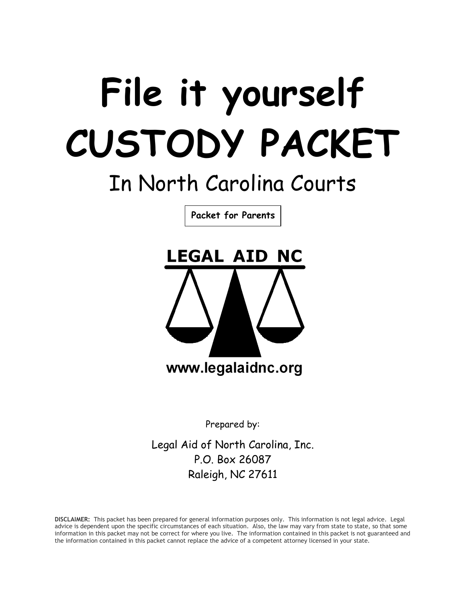# File it yourself CUSTODY PACKET

# In North Carolina Courts

**Packet for Parents** 



Prepared by:

Legal Aid of North Carolina, Inc. P.O. Box 26087 Raleigh, NC 27611

DISCLAIMER: This packet has been prepared for general information purposes only. This information is not legal advice. Legal advice is dependent upon the specific circumstances of each situation. Also, the law may vary from state to state, so that some information in this packet may not be correct for where you live. The information contained in this packet is not guaranteed and the information contained in this packet cannot replace the advice of a competent attorney licensed in your state.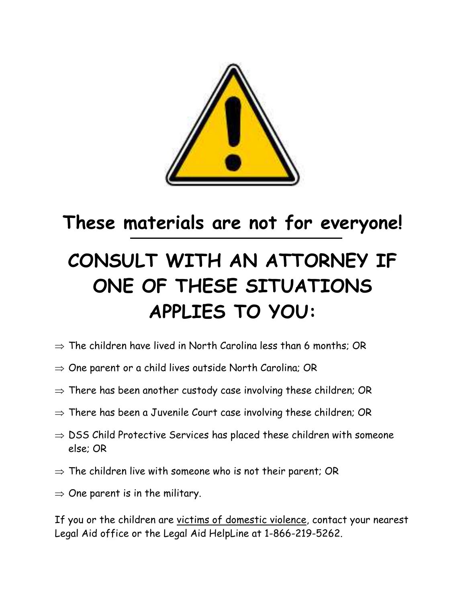

# These materials are not for everyone!

# CONSULT WITH AN ATTORNEY IF ONE OF THESE SITUATIONS **APPLIES TO YOU:**

- $\Rightarrow$  The children have lived in North Carolina less than 6 months; OR
- $\Rightarrow$  One parent or a child lives outside North Carolina; OR
- $\Rightarrow$  There has been another custody case involving these children; OR
- $\Rightarrow$  There has been a Juvenile Court case involving these children; OR
- $\Rightarrow$  DSS Child Protective Services has placed these children with someone else: OR
- $\Rightarrow$  The children live with someone who is not their parent; OR
- $\Rightarrow$  One parent is in the military.

If you or the children are victims of domestic violence, contact your nearest Legal Aid office or the Legal Aid HelpLine at 1-866-219-5262.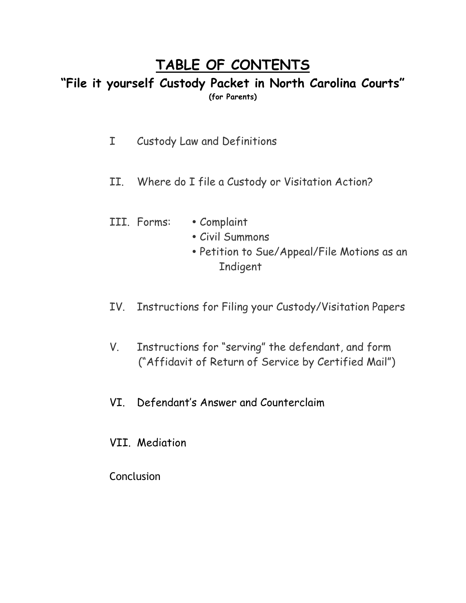# TABLE OF CONTENTS

# "File it yourself Custody Packet in North Carolina Courts" (for Parents)

- Custody Law and Definitions  $\mathbf{I}$
- Where do I file a Custody or Visitation Action? II.
- Complaint III. Forms:
	- · Civil Summons
	- · Petition to Sue/Appeal/File Motions as an Indigent
- Instructions for Filing your Custody/Visitation Papers IV.
- Instructions for "serving" the defendant, and form  $V_{\cdot}$ ("Affidavit of Return of Service by Certified Mail")
- VI. Defendant's Answer and Counterclaim
- VII. Mediation

Conclusion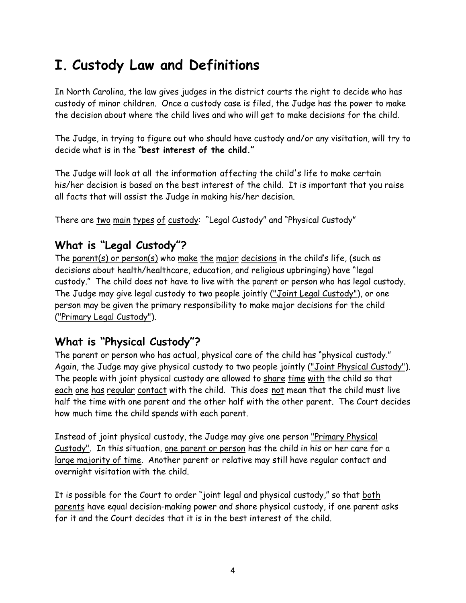# I. Custody Law and Definitions

In North Carolina, the law gives judges in the district courts the right to decide who has custody of minor children. Once a custody case is filed, the Judge has the power to make the decision about where the child lives and who will get to make decisions for the child.

The Judge, in trying to figure out who should have custody and/or any visitation, will try to decide what is in the "best interest of the child."

The Judge will look at all the information affecting the child's life to make certain his/her decision is based on the best interest of the child. It is important that you raise all facts that will assist the Judge in making his/her decision.

There are two main types of custody: "Legal Custody" and "Physical Custody"

# What is "Legal Custody"?

The parent(s) or person(s) who make the major decisions in the child's life, (such as decisions about health/healthcare, education, and religious upbringing) have "legal custody." The child does not have to live with the parent or person who has legal custody. The Judge may give legal custody to two people jointly ("Joint Legal Custody"), or one person may be given the primary responsibility to make major decisions for the child ("Primary Legal Custody").

# What is "Physical Custody"?

The parent or person who has actual, physical care of the child has "physical custody." Again, the Judge may give physical custody to two people jointly ("Joint Physical Custody"). The people with joint physical custody are allowed to share time with the child so that each one has regular contact with the child. This does not mean that the child must live half the time with one parent and the other half with the other parent. The Court decides how much time the child spends with each parent.

Instead of joint physical custody, the Judge may give one person "Primary Physical Custody". In this situation, one parent or person has the child in his or her care for a large majority of time. Another parent or relative may still have regular contact and overnight visitation with the child.

It is possible for the Court to order "joint legal and physical custody," so that both parents have equal decision-making power and share physical custody, if one parent asks for it and the Court decides that it is in the best interest of the child.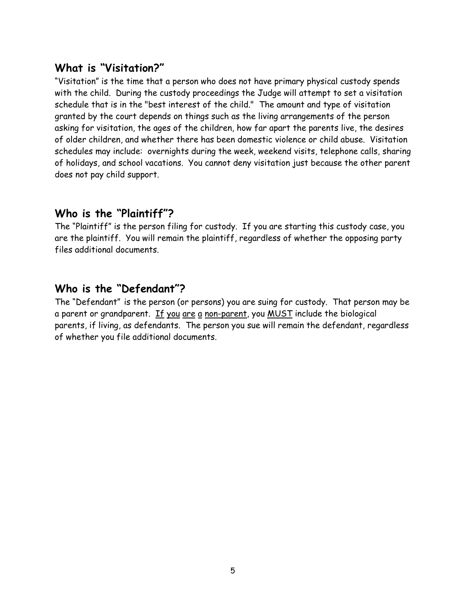# **What is "Visitation?"**

"Visitation" is the time that a person who does not have primary physical custody spends with the child. During the custody proceedings the Judge will attempt to set a visitation schedule that is in the "best interest of the child." The amount and type of visitation granted by the court depends on things such as the living arrangements of the person asking for visitation, the ages of the children, how far apart the parents live, the desires of older children, and whether there has been domestic violence or child abuse. Visitation schedules may include: overnights during the week, weekend visits, telephone calls, sharing of holidays, and school vacations. You cannot deny visitation just because the other parent does not pay child support.

# Who is the "Plaintiff"?

The "Plaintiff" is the person filing for custody. If you are starting this custody case, you are the plaintiff. You will remain the plaintiff, regardless of whether the opposing party files additional documents.

# Who is the "Defendant"?

The "Defendant" is the person (or persons) you are suing for custody. That person may be a parent or grandparent. If you are a non-parent, you MUST include the biological parents, if living, as defendants. The person you sue will remain the defendant, regardless of whether you file additional documents.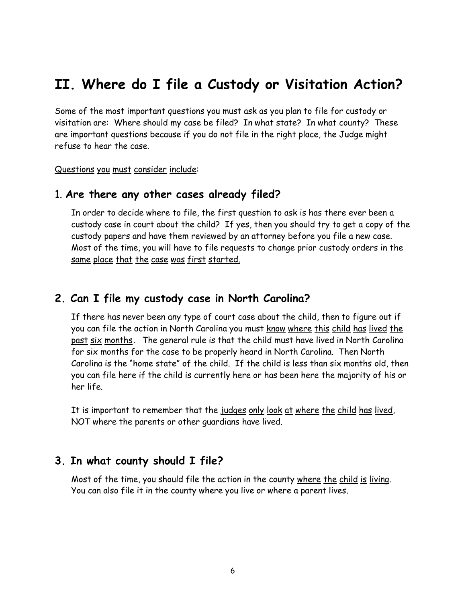# II. Where do I file a Custody or Visitation Action?

Some of the most important questions you must ask as you plan to file for custody or visitation are: Where should my case be filed? In what state? In what county? These are important questions because if you do not file in the right place, the Judge might refuse to hear the case.

Questions you must consider include:

#### 1. Are there any other cases already filed?

In order to decide where to file, the first question to ask is has there ever been a custody case in court about the child? If yes, then you should try to get a copy of the custody papers and have them reviewed by an attorney before you file a new case. Most of the time, you will have to file requests to change prior custody orders in the same place that the case was first started.

#### 2. Can I file my custody case in North Carolina?

If there has never been any type of court case about the child, then to figure out if you can file the action in North Carolina you must know where this child has lived the past six months. The general rule is that the child must have lived in North Carolina for six months for the case to be properly heard in North Carolina. Then North Carolina is the "home state" of the child. If the child is less than six months old, then you can file here if the child is currently here or has been here the majority of his or her life.

It is important to remember that the judges only look at where the child has lived, NOT where the parents or other guardians have lived.

#### 3. In what county should I file?

Most of the time, you should file the action in the county where the child is living. You can also file it in the county where you live or where a parent lives.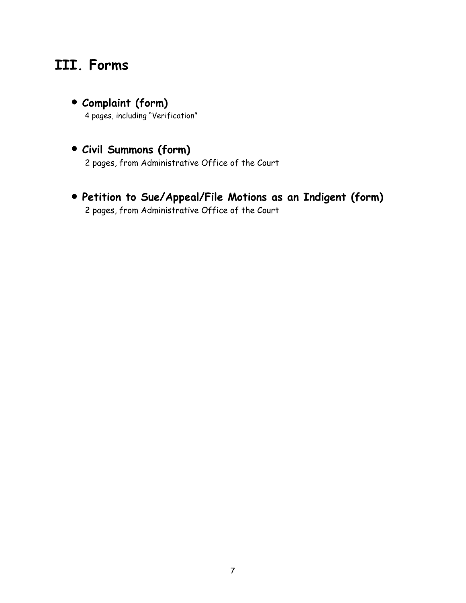# III. Forms

- Complaint (form) 4 pages, including "Verification"
- · Civil Summons (form) 2 pages, from Administrative Office of the Court
- · Petition to Sue/Appeal/File Motions as an Indigent (form) 2 pages, from Administrative Office of the Court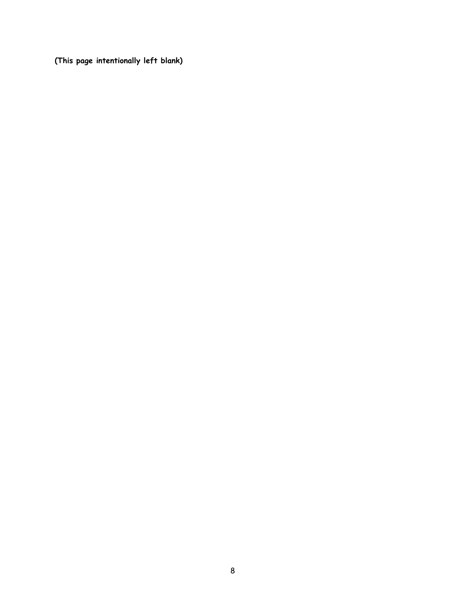(This page intentionally left blank)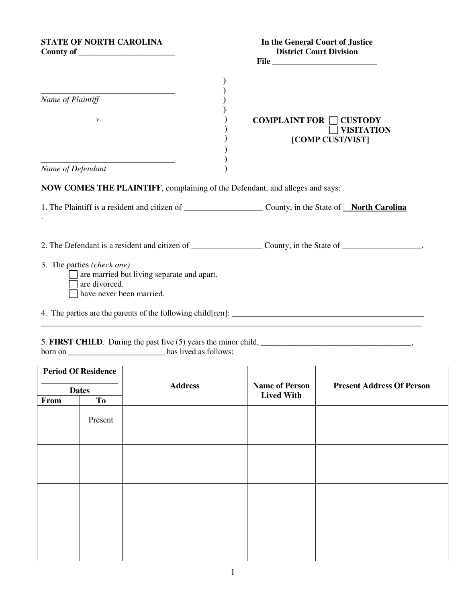| <b>STATE OF NORTH CAROLINA</b><br>County of $\sqrt{2}$                                                                | In the General Court of Justice<br><b>District Court Division</b>     |
|-----------------------------------------------------------------------------------------------------------------------|-----------------------------------------------------------------------|
| Name of Plaintiff<br>$\nu$ .                                                                                          | <b>COMPLAINT FOR CUSTODY</b><br><b>VISITATION</b><br>[COMP CUST/VIST] |
| Name of Defendant<br>NOW COMES THE PLAINTIFF, complaining of the Defendant, and alleges and says:                     |                                                                       |
|                                                                                                                       |                                                                       |
|                                                                                                                       |                                                                       |
| 3. The parties (check one)<br>are married but living separate and apart.<br>are divorced.<br>have never been married. |                                                                       |
|                                                                                                                       |                                                                       |

#### 5. **FIRST CHILD**. During the past five (5) years the minor child, **\_\_\_\_\_\_\_\_\_\_\_\_\_\_\_\_\_\_\_\_\_\_\_\_\_\_\_\_\_\_\_\_\_\_\_\_**, born on **\_\_\_\_\_\_\_\_\_\_\_\_\_\_\_\_\_\_\_\_\_\_\_** has lived as follows:

| <b>Period Of Residence</b><br><b>Dates</b> |           |                |                                            |                                  |  |
|--------------------------------------------|-----------|----------------|--------------------------------------------|----------------------------------|--|
|                                            |           | <b>Address</b> | <b>Name of Person</b><br><b>Lived With</b> | <b>Present Address Of Person</b> |  |
| From                                       | <b>To</b> |                |                                            |                                  |  |
|                                            | Present   |                |                                            |                                  |  |
|                                            |           |                |                                            |                                  |  |
|                                            |           |                |                                            |                                  |  |
|                                            |           |                |                                            |                                  |  |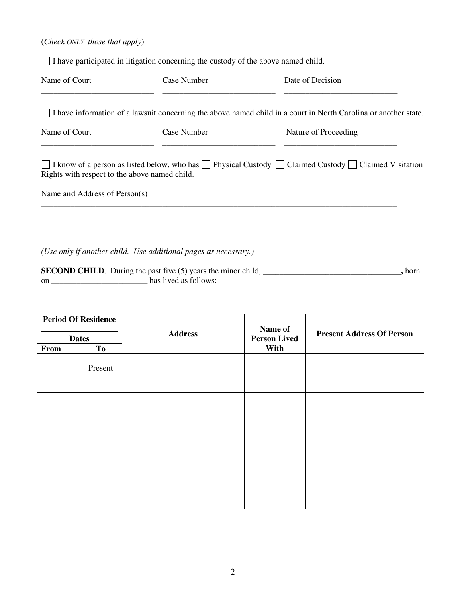#### (*Check ONLY those that apply*)

 $\Box$  I have participated in litigation concerning the custody of the above named child.

| Name of Court                                                                  | <b>Case Number</b> | Date of Decision                                                                                                       |  |
|--------------------------------------------------------------------------------|--------------------|------------------------------------------------------------------------------------------------------------------------|--|
|                                                                                |                    | $\Box$ I have information of a lawsuit concerning the above named child in a court in North Carolina or another state. |  |
| Name of Court                                                                  | Case Number        | Nature of Proceeding                                                                                                   |  |
| Rights with respect to the above named child.<br>Name and Address of Person(s) |                    | I know of a person as listed below, who has $\Box$ Physical Custody $\Box$ Claimed Custody $\Box$ Claimed Visitation   |  |
|                                                                                |                    |                                                                                                                        |  |
| (Use only if another child. Use additional pages as necessary.)                |                    |                                                                                                                        |  |
| <b>SECOND CHILD.</b> During the past five (5) years the minor child,           |                    | $_{\bullet}$ born                                                                                                      |  |

on **\_\_\_\_\_\_\_\_\_\_\_\_\_\_\_\_\_\_\_\_\_\_\_** has lived as follows:

| <b>Period Of Residence</b><br><b>Dates</b> |                | <b>Address</b> | Name of<br><b>Person Lived</b> | <b>Present Address Of Person</b> |  |
|--------------------------------------------|----------------|----------------|--------------------------------|----------------------------------|--|
| From                                       | T <sub>o</sub> |                | With                           |                                  |  |
|                                            | Present        |                |                                |                                  |  |
|                                            |                |                |                                |                                  |  |
|                                            |                |                |                                |                                  |  |
|                                            |                |                |                                |                                  |  |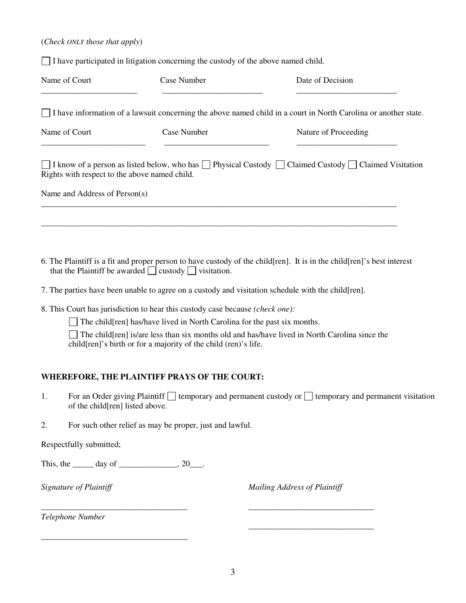#### (*Check ONLY those that apply*)

 $\Box$  I have participated in litigation concerning the custody of the above named child.

|    | Name of Court                                                   | Case Number                                                                                                                                                        | Date of Decision                                                                                                  |
|----|-----------------------------------------------------------------|--------------------------------------------------------------------------------------------------------------------------------------------------------------------|-------------------------------------------------------------------------------------------------------------------|
|    |                                                                 | I have information of a lawsuit concerning the above named child in a court in North Carolina or another state.                                                    |                                                                                                                   |
|    | Name of Court                                                   | Case Number                                                                                                                                                        | Nature of Proceeding                                                                                              |
|    | Rights with respect to the above named child.                   | I know of a person as listed below, who has $\Box$ Physical Custody $\Box$ Claimed Custody $\Box$ Claimed Visitation                                               |                                                                                                                   |
|    | Name and Address of Person(s)                                   |                                                                                                                                                                    |                                                                                                                   |
|    |                                                                 |                                                                                                                                                                    |                                                                                                                   |
|    |                                                                 |                                                                                                                                                                    |                                                                                                                   |
|    | that the Plaintiff be awarded $\Box$ custody $\Box$ visitation. | 6. The Plaintiff is a fit and proper person to have custody of the child[ren]. It is in the child[ren]'s best interest                                             |                                                                                                                   |
|    |                                                                 | 7. The parties have been unable to agree on a custody and visitation schedule with the child[ren].                                                                 |                                                                                                                   |
|    |                                                                 | 8. This Court has jurisdiction to hear this custody case because (check one):                                                                                      |                                                                                                                   |
|    |                                                                 | The child [ren] has/have lived in North Carolina for the past six months.                                                                                          |                                                                                                                   |
|    |                                                                 | The child [ren] is/are less than six months old and has/have lived in North Carolina since the<br>child [ren]'s birth or for a majority of the child (ren)'s life. |                                                                                                                   |
|    |                                                                 |                                                                                                                                                                    |                                                                                                                   |
|    |                                                                 | WHEREFORE, THE PLAINTIFF PRAYS OF THE COURT:                                                                                                                       |                                                                                                                   |
| 1. | of the child[ren] listed above.                                 |                                                                                                                                                                    | For an Order giving Plaintiff $\Box$ temporary and permanent custody or $\Box$ temporary and permanent visitation |
| 2. |                                                                 | For such other relief as may be proper, just and lawful.                                                                                                           |                                                                                                                   |
|    | Respectfully submitted;                                         |                                                                                                                                                                    |                                                                                                                   |
|    | This, the $\_\_\_\_$ day of $\_\_\_\_\_\_\_$ , 20 $\_\_\_\_\$ . |                                                                                                                                                                    |                                                                                                                   |

*Signature of Plaintiff* 

*\_\_\_\_\_\_\_\_\_\_\_\_\_\_\_\_\_\_\_\_\_\_\_\_\_\_\_\_\_\_\_\_\_\_\_* 

*\_\_\_\_\_\_\_\_\_\_\_\_\_\_\_\_\_\_\_\_\_\_\_\_\_\_\_\_\_\_\_\_\_\_\_* 

*Mailing Address of Plaintiff* 

*\_\_\_\_\_\_\_\_\_\_\_\_\_\_\_\_\_\_\_\_\_\_\_\_\_\_\_\_\_\_* 

\_\_\_\_\_\_\_\_\_\_\_\_\_\_\_\_\_\_\_\_\_\_\_\_\_\_\_\_\_\_

*Telephone Number*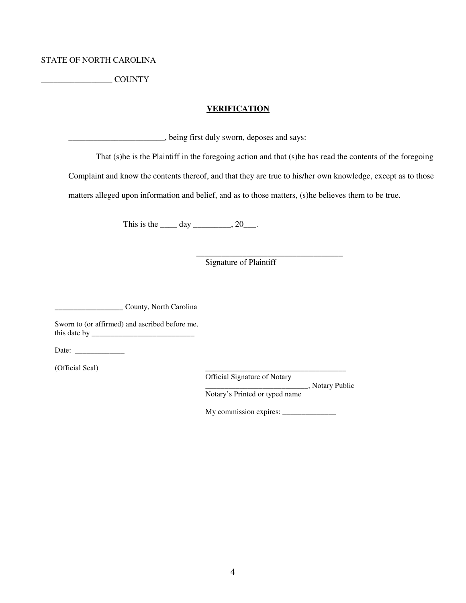STATE OF NORTH CAROLINA

\_\_\_\_\_\_\_\_\_\_\_\_\_\_\_\_\_ COUNTY

#### **VERIFICATION**

\_\_\_\_\_\_\_\_\_\_\_\_\_\_\_\_\_\_\_\_\_\_\_, being first duly sworn, deposes and says:

That (s)he is the Plaintiff in the foregoing action and that (s)he has read the contents of the foregoing

Complaint and know the contents thereof, and that they are true to his/her own knowledge, except as to those

matters alleged upon information and belief, and as to those matters, (s)he believes them to be true.

This is the  $\_\_\_\_\$  day  $\_\_\_\_\_\_\$ , 20 $\_\_\_\$ .

 $\frac{1}{2}$  , and the set of the set of the set of the set of the set of the set of the set of the set of the set of the set of the set of the set of the set of the set of the set of the set of the set of the set of the set

Signature of Plaintiff

\_\_\_\_\_\_\_\_\_\_\_\_\_\_\_\_\_\_ County, North Carolina

Sworn to (or affirmed) and ascribed before me, this date by \_\_\_\_\_\_\_\_\_\_\_\_\_\_\_\_\_\_\_\_\_\_\_\_\_\_\_

Date: \_\_\_\_\_\_\_\_\_\_\_\_\_

(Official Seal) \_\_\_\_\_\_\_\_\_\_\_\_\_\_\_\_\_\_\_\_\_\_\_\_\_\_\_\_\_\_\_\_\_\_\_\_\_

Official Signature of Notary

\_\_\_\_\_, Notary Public

Notary's Printed or typed name

My commission expires: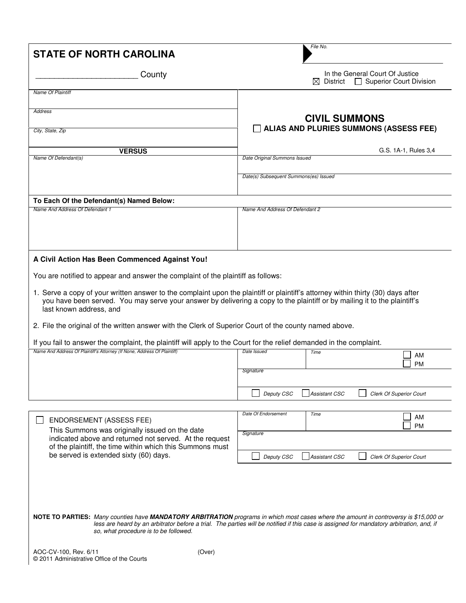| <b>STATE OF NORTH CAROLINA</b>                                                                                                                                                                                                                                                           | File No.                                                                                                                                 |
|------------------------------------------------------------------------------------------------------------------------------------------------------------------------------------------------------------------------------------------------------------------------------------------|------------------------------------------------------------------------------------------------------------------------------------------|
| County                                                                                                                                                                                                                                                                                   | In the General Court Of Justice<br>$\boxtimes$ District<br><b>Superior Court Division</b><br>$\perp$                                     |
| Name Of Plaintiff                                                                                                                                                                                                                                                                        |                                                                                                                                          |
| Address                                                                                                                                                                                                                                                                                  | <b>CIVIL SUMMONS</b>                                                                                                                     |
| City, State, Zip                                                                                                                                                                                                                                                                         | ALIAS AND PLURIES SUMMONS (ASSESS FEE)                                                                                                   |
| <b>VERSUS</b>                                                                                                                                                                                                                                                                            | G.S. 1A-1, Rules 3,4                                                                                                                     |
| Name Of Defendant(s)                                                                                                                                                                                                                                                                     | Date Original Summons Issued                                                                                                             |
|                                                                                                                                                                                                                                                                                          | Date(s) Subsequent Summons(es) Issued                                                                                                    |
| To Each Of the Defendant(s) Named Below:                                                                                                                                                                                                                                                 |                                                                                                                                          |
| Name And Address Of Defendant 1                                                                                                                                                                                                                                                          | Name And Address Of Defendant 2                                                                                                          |
|                                                                                                                                                                                                                                                                                          |                                                                                                                                          |
|                                                                                                                                                                                                                                                                                          |                                                                                                                                          |
| A Civil Action Has Been Commenced Against You!                                                                                                                                                                                                                                           |                                                                                                                                          |
| You are notified to appear and answer the complaint of the plaintiff as follows:                                                                                                                                                                                                         |                                                                                                                                          |
| 1. Serve a copy of your written answer to the complaint upon the plaintiff or plaintiff's attorney within thirty (30) days after<br>you have been served. You may serve your answer by delivering a copy to the plaintiff or by mailing it to the plaintiff's<br>last known address, and |                                                                                                                                          |
| 2. File the original of the written answer with the Clerk of Superior Court of the county named above.                                                                                                                                                                                   |                                                                                                                                          |
| If you fail to answer the complaint, the plaintiff will apply to the Court for the relief demanded in the complaint.                                                                                                                                                                     |                                                                                                                                          |
| Name And Address Of Plaintiff's Attorney (If None, Address Of Plaintiff)                                                                                                                                                                                                                 | Date Issued<br>Time<br>AM                                                                                                                |
|                                                                                                                                                                                                                                                                                          | <b>PM</b><br>Signature                                                                                                                   |
|                                                                                                                                                                                                                                                                                          |                                                                                                                                          |
|                                                                                                                                                                                                                                                                                          | Deputy CSC<br>Assistant CSC<br><b>Clerk Of Superior Court</b>                                                                            |
|                                                                                                                                                                                                                                                                                          | Date Of Endorsement<br>Time<br>AM                                                                                                        |
| <b>ENDORSEMENT (ASSESS FEE)</b><br>This Summons was originally issued on the date                                                                                                                                                                                                        | <b>PM</b><br>Signature                                                                                                                   |
| indicated above and returned not served. At the request<br>of the plaintiff, the time within which this Summons must                                                                                                                                                                     |                                                                                                                                          |
| be served is extended sixty (60) days.                                                                                                                                                                                                                                                   | Deputy CSC<br><b>Assistant CSC</b><br><b>Clerk Of Superior Court</b>                                                                     |
|                                                                                                                                                                                                                                                                                          |                                                                                                                                          |
|                                                                                                                                                                                                                                                                                          |                                                                                                                                          |
|                                                                                                                                                                                                                                                                                          |                                                                                                                                          |
|                                                                                                                                                                                                                                                                                          | NOTE TO PARTIES: Many counties have MANDATORY ARBITRATION programs in which most cases where the amount in controversy is \$15,000 or    |
| so, what procedure is to be followed.                                                                                                                                                                                                                                                    | less are heard by an arbitrator before a trial. The parties will be notified if this case is assigned for mandatory arbitration, and, if |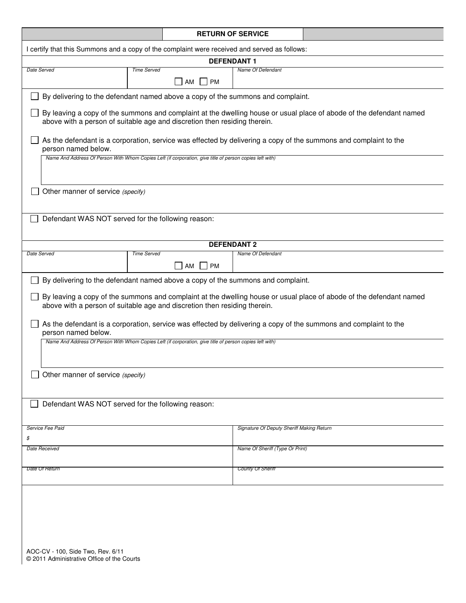|                                                                                                                                                                                                                                                                                                                                                                                                                                                         |                                                                                  |                 | <b>RETURN OF SERVICE</b>                  |                                                                                                                     |  |
|---------------------------------------------------------------------------------------------------------------------------------------------------------------------------------------------------------------------------------------------------------------------------------------------------------------------------------------------------------------------------------------------------------------------------------------------------------|----------------------------------------------------------------------------------|-----------------|-------------------------------------------|---------------------------------------------------------------------------------------------------------------------|--|
| I certify that this Summons and a copy of the complaint were received and served as follows:                                                                                                                                                                                                                                                                                                                                                            |                                                                                  |                 |                                           |                                                                                                                     |  |
|                                                                                                                                                                                                                                                                                                                                                                                                                                                         |                                                                                  |                 | <b>DEFENDANT1</b>                         |                                                                                                                     |  |
|                                                                                                                                                                                                                                                                                                                                                                                                                                                         | Name Of Defendant<br><b>Date Served</b><br><b>Time Served</b><br><b>PM</b><br>AM |                 |                                           |                                                                                                                     |  |
| By delivering to the defendant named above a copy of the summons and complaint.                                                                                                                                                                                                                                                                                                                                                                         |                                                                                  |                 |                                           |                                                                                                                     |  |
| above with a person of suitable age and discretion then residing therein.                                                                                                                                                                                                                                                                                                                                                                               |                                                                                  |                 |                                           | By leaving a copy of the summons and complaint at the dwelling house or usual place of abode of the defendant named |  |
| person named below.                                                                                                                                                                                                                                                                                                                                                                                                                                     |                                                                                  |                 |                                           | As the defendant is a corporation, service was effected by delivering a copy of the summons and complaint to the    |  |
| Name And Address Of Person With Whom Copies Left (if corporation, give title of person copies left with)                                                                                                                                                                                                                                                                                                                                                |                                                                                  |                 |                                           |                                                                                                                     |  |
| Other manner of service (specify)                                                                                                                                                                                                                                                                                                                                                                                                                       |                                                                                  |                 |                                           |                                                                                                                     |  |
| Defendant WAS NOT served for the following reason:                                                                                                                                                                                                                                                                                                                                                                                                      |                                                                                  |                 |                                           |                                                                                                                     |  |
|                                                                                                                                                                                                                                                                                                                                                                                                                                                         |                                                                                  |                 | <b>DEFENDANT 2</b>                        |                                                                                                                     |  |
| Date Served                                                                                                                                                                                                                                                                                                                                                                                                                                             | <b>Time Served</b>                                                               |                 | Name Of Defendant                         |                                                                                                                     |  |
|                                                                                                                                                                                                                                                                                                                                                                                                                                                         |                                                                                  | <b>PM</b><br>AM |                                           |                                                                                                                     |  |
| By leaving a copy of the summons and complaint at the dwelling house or usual place of abode of the defendant named<br>above with a person of suitable age and discretion then residing therein.<br>As the defendant is a corporation, service was effected by delivering a copy of the summons and complaint to the<br>person named below.<br>Name And Address Of Person With Whom Copies Left (if corporation, give title of person copies left with) |                                                                                  |                 |                                           |                                                                                                                     |  |
|                                                                                                                                                                                                                                                                                                                                                                                                                                                         |                                                                                  |                 |                                           |                                                                                                                     |  |
| Other manner of service (specify)                                                                                                                                                                                                                                                                                                                                                                                                                       |                                                                                  |                 |                                           |                                                                                                                     |  |
|                                                                                                                                                                                                                                                                                                                                                                                                                                                         | Defendant WAS NOT served for the following reason:                               |                 |                                           |                                                                                                                     |  |
| Service Fee Paid<br>\$                                                                                                                                                                                                                                                                                                                                                                                                                                  |                                                                                  |                 | Signature Of Deputy Sheriff Making Return |                                                                                                                     |  |
| Date Received                                                                                                                                                                                                                                                                                                                                                                                                                                           | Name Of Sheriff (Type Or Print)                                                  |                 |                                           |                                                                                                                     |  |
| <b>County Of Sheriff</b><br>Date Of Return                                                                                                                                                                                                                                                                                                                                                                                                              |                                                                                  |                 |                                           |                                                                                                                     |  |
| AOC-CV - 100, Side Two, Rev. 6/11                                                                                                                                                                                                                                                                                                                                                                                                                       |                                                                                  |                 |                                           |                                                                                                                     |  |
| © 2011 Administrative Office of the Courts                                                                                                                                                                                                                                                                                                                                                                                                              |                                                                                  |                 |                                           |                                                                                                                     |  |

| . | 100, 0100, 110, 100, 001                   |
|---|--------------------------------------------|
|   | © 2011 Administrative Office of the Courts |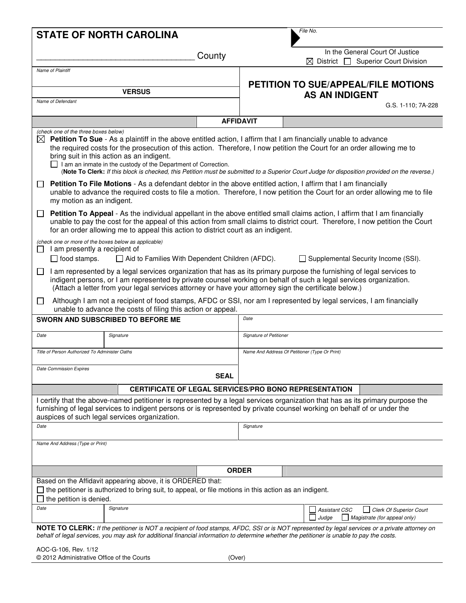| <b>STATE OF NORTH CAROLINA</b>                                                                                                                                                                                                                                                                                                                                                                                                                                                                                                                                        |             |                         | File No.                                                            |                                |
|-----------------------------------------------------------------------------------------------------------------------------------------------------------------------------------------------------------------------------------------------------------------------------------------------------------------------------------------------------------------------------------------------------------------------------------------------------------------------------------------------------------------------------------------------------------------------|-------------|-------------------------|---------------------------------------------------------------------|--------------------------------|
|                                                                                                                                                                                                                                                                                                                                                                                                                                                                                                                                                                       | County      |                         | In the General Court Of Justice<br>$\boxtimes$ District $\Box$      | <b>Superior Court Division</b> |
| Name of Plaintiff                                                                                                                                                                                                                                                                                                                                                                                                                                                                                                                                                     |             |                         |                                                                     |                                |
| <b>VERSUS</b>                                                                                                                                                                                                                                                                                                                                                                                                                                                                                                                                                         |             |                         | <b>PETITION TO SUE/APPEAL/FILE MOTIONS</b><br><b>AS AN INDIGENT</b> |                                |
| Name of Defendant                                                                                                                                                                                                                                                                                                                                                                                                                                                                                                                                                     |             |                         |                                                                     | G.S. 1-110; 7A-228             |
|                                                                                                                                                                                                                                                                                                                                                                                                                                                                                                                                                                       |             | <b>AFFIDAVIT</b>        |                                                                     |                                |
| (check one of the three boxes below)<br><b>Petition To Sue</b> - As a plaintiff in the above entitled action, I affirm that I am financially unable to advance<br>$\bowtie$<br>the required costs for the prosecution of this action. Therefore, I now petition the Court for an order allowing me to<br>bring suit in this action as an indigent.<br>I am an inmate in the custody of the Department of Correction.<br>(Note To Clerk: If this block is checked, this Petition must be submitted to a Superior Court Judge for disposition provided on the reverse.) |             |                         |                                                                     |                                |
| <b>Petition To File Motions</b> - As a defendant debtor in the above entitled action, I affirm that I am financially<br>unable to advance the required costs to file a motion. Therefore, I now petition the Court for an order allowing me to file<br>my motion as an indigent.                                                                                                                                                                                                                                                                                      |             |                         |                                                                     |                                |
| Petition To Appeal - As the individual appellant in the above entitled small claims action, I affirm that I am financially<br>unable to pay the cost for the appeal of this action from small claims to district court. Therefore, I now petition the Court<br>for an order allowing me to appeal this action to district court as an indigent.                                                                                                                                                                                                                       |             |                         |                                                                     |                                |
| (check one or more of the boxes below as applicable)<br>I am presently a recipient of<br>$\Box$ food stamps.<br>$\Box$ Aid to Families With Dependent Children (AFDC).                                                                                                                                                                                                                                                                                                                                                                                                |             |                         | $\Box$ Supplemental Security Income (SSI).                          |                                |
| I am represented by a legal services organization that has as its primary purpose the furnishing of legal services to<br>$\mathsf{L}$<br>indigent persons, or I am represented by private counsel working on behalf of such a legal services organization.<br>(Attach a letter from your legal services attorney or have your attorney sign the certificate below.)                                                                                                                                                                                                   |             |                         |                                                                     |                                |
| Although I am not a recipient of food stamps, AFDC or SSI, nor am I represented by legal services, I am financially<br>ப<br>unable to advance the costs of filing this action or appeal.                                                                                                                                                                                                                                                                                                                                                                              |             |                         |                                                                     |                                |
| SWORN AND SUBSCRIBED TO BEFORE ME                                                                                                                                                                                                                                                                                                                                                                                                                                                                                                                                     |             | Date                    |                                                                     |                                |
| Date<br>Signature                                                                                                                                                                                                                                                                                                                                                                                                                                                                                                                                                     |             | Signature of Petitioner |                                                                     |                                |
| Title of Person Authorized To Administer Oaths                                                                                                                                                                                                                                                                                                                                                                                                                                                                                                                        |             |                         | Name And Address Of Petitioner (Type Or Print)                      |                                |
| <b>Date Commission Expires</b>                                                                                                                                                                                                                                                                                                                                                                                                                                                                                                                                        | <b>SEAL</b> |                         |                                                                     |                                |
|                                                                                                                                                                                                                                                                                                                                                                                                                                                                                                                                                                       |             |                         | <b>CERTIFICATE OF LEGAL SERVICES/PRO BONO REPRESENTATION</b>        |                                |
| I certify that the above-named petitioner is represented by a legal services organization that has as its primary purpose the<br>furnishing of legal services to indigent persons or is represented by private counsel working on behalf of or under the<br>auspices of such legal services organization.                                                                                                                                                                                                                                                             |             |                         |                                                                     |                                |
| Date                                                                                                                                                                                                                                                                                                                                                                                                                                                                                                                                                                  |             | Signature               |                                                                     |                                |
| Name And Address (Type or Print)                                                                                                                                                                                                                                                                                                                                                                                                                                                                                                                                      |             |                         |                                                                     |                                |
|                                                                                                                                                                                                                                                                                                                                                                                                                                                                                                                                                                       |             | <b>ORDER</b>            |                                                                     |                                |
| Based on the Affidavit appearing above, it is ORDERED that:<br>$\Box$ the petitioner is authorized to bring suit, to appeal, or file motions in this action as an indigent.<br>$\Box$ the petition is denied.                                                                                                                                                                                                                                                                                                                                                         |             |                         |                                                                     |                                |
| Date<br>Signature                                                                                                                                                                                                                                                                                                                                                                                                                                                                                                                                                     |             |                         | Assistant CSC<br>Magistrate (for appeal only)<br>Judge              | Clerk Of Superior Court        |
| <b>NOTE TO CLERK:</b> If the petitioner is NOT a recipient of food stamps, AFDC, SSI or is NOT represented by legal services or a private attorney on<br>behalf of legal services, you may ask for additional financial information to determine whether the petitioner is unable to pay the costs.                                                                                                                                                                                                                                                                   |             |                         |                                                                     |                                |

| AOC-G-106, Rev. 1/12                       |        |
|--------------------------------------------|--------|
| © 2012 Administrative Office of the Courts | (Over) |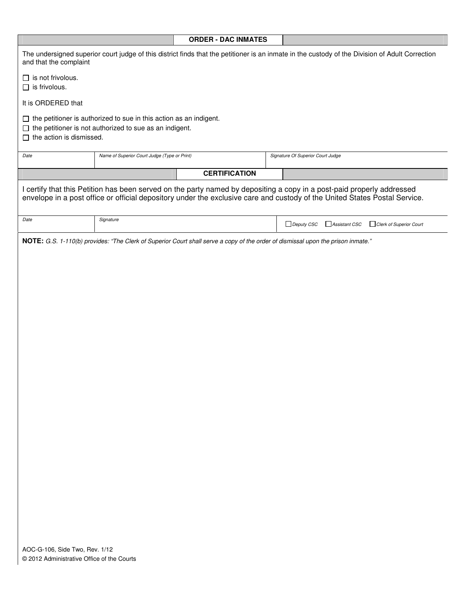|                                                                                                                                                                           |                                                                                                                                             | <b>ORDER - DAC INMATES</b> |                                                                                                                                                                                                                                                      |  |
|---------------------------------------------------------------------------------------------------------------------------------------------------------------------------|---------------------------------------------------------------------------------------------------------------------------------------------|----------------------------|------------------------------------------------------------------------------------------------------------------------------------------------------------------------------------------------------------------------------------------------------|--|
| The undersigned superior court judge of this district finds that the petitioner is an inmate in the custody of the Division of Adult Correction<br>and that the complaint |                                                                                                                                             |                            |                                                                                                                                                                                                                                                      |  |
| $\Box$ is not frivolous.<br>$\Box$ is frivolous.                                                                                                                          |                                                                                                                                             |                            |                                                                                                                                                                                                                                                      |  |
| It is ORDERED that                                                                                                                                                        |                                                                                                                                             |                            |                                                                                                                                                                                                                                                      |  |
| $\Box$ the action is dismissed.                                                                                                                                           | $\Box$ the petitioner is authorized to sue in this action as an indigent.<br>$\Box$ the petitioner is not authorized to sue as an indigent. |                            |                                                                                                                                                                                                                                                      |  |
| Date                                                                                                                                                                      | Name of Superior Court Judge (Type or Print)                                                                                                |                            | Signature Of Superior Court Judge                                                                                                                                                                                                                    |  |
|                                                                                                                                                                           |                                                                                                                                             | <b>CERTIFICATION</b>       |                                                                                                                                                                                                                                                      |  |
|                                                                                                                                                                           |                                                                                                                                             |                            | I certify that this Petition has been served on the party named by depositing a copy in a post-paid properly addressed<br>envelope in a post office or official depository under the exclusive care and custody of the United States Postal Service. |  |
| Date                                                                                                                                                                      | Signature                                                                                                                                   |                            | $\Box$ Deputy CSC<br>Assistant CSC<br>Clerk of Superior Court                                                                                                                                                                                        |  |
|                                                                                                                                                                           |                                                                                                                                             |                            | NOTE: G.S. 1-110(b) provides: "The Clerk of Superior Court shall serve a copy of the order of dismissal upon the prison inmate."                                                                                                                     |  |
|                                                                                                                                                                           |                                                                                                                                             |                            |                                                                                                                                                                                                                                                      |  |
|                                                                                                                                                                           |                                                                                                                                             |                            |                                                                                                                                                                                                                                                      |  |
|                                                                                                                                                                           |                                                                                                                                             |                            |                                                                                                                                                                                                                                                      |  |
|                                                                                                                                                                           |                                                                                                                                             |                            |                                                                                                                                                                                                                                                      |  |
|                                                                                                                                                                           |                                                                                                                                             |                            |                                                                                                                                                                                                                                                      |  |
|                                                                                                                                                                           |                                                                                                                                             |                            |                                                                                                                                                                                                                                                      |  |
|                                                                                                                                                                           |                                                                                                                                             |                            |                                                                                                                                                                                                                                                      |  |
|                                                                                                                                                                           |                                                                                                                                             |                            |                                                                                                                                                                                                                                                      |  |
|                                                                                                                                                                           |                                                                                                                                             |                            |                                                                                                                                                                                                                                                      |  |
|                                                                                                                                                                           |                                                                                                                                             |                            |                                                                                                                                                                                                                                                      |  |
|                                                                                                                                                                           |                                                                                                                                             |                            |                                                                                                                                                                                                                                                      |  |
|                                                                                                                                                                           |                                                                                                                                             |                            |                                                                                                                                                                                                                                                      |  |
|                                                                                                                                                                           |                                                                                                                                             |                            |                                                                                                                                                                                                                                                      |  |
|                                                                                                                                                                           |                                                                                                                                             |                            |                                                                                                                                                                                                                                                      |  |
|                                                                                                                                                                           |                                                                                                                                             |                            |                                                                                                                                                                                                                                                      |  |
|                                                                                                                                                                           |                                                                                                                                             |                            |                                                                                                                                                                                                                                                      |  |
|                                                                                                                                                                           |                                                                                                                                             |                            |                                                                                                                                                                                                                                                      |  |
|                                                                                                                                                                           |                                                                                                                                             |                            |                                                                                                                                                                                                                                                      |  |
| AOC-G-106, Side Two, Rev. 1/12                                                                                                                                            |                                                                                                                                             |                            |                                                                                                                                                                                                                                                      |  |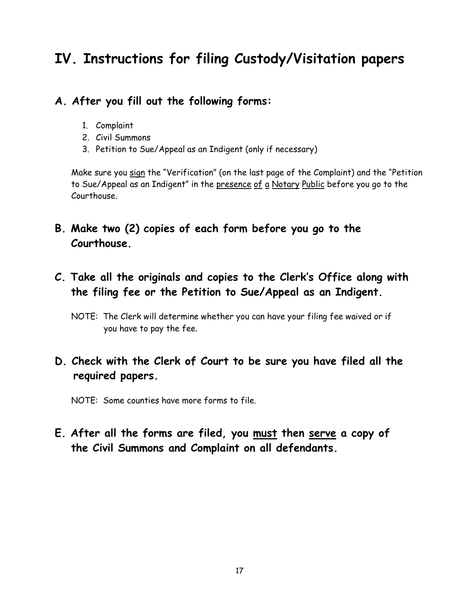# IV. Instructions for filing Custody/Visitation papers

# A. After you fill out the following forms:

- 1. Complaint
- 2. Civil Summons
- 3. Petition to Sue/Appeal as an Indigent (only if necessary)

Make sure you sign the "Verification" (on the last page of the Complaint) and the "Petition to Sue/Appeal as an Indigent" in the presence of a Notary Public before you go to the Courthouse

- B. Make two (2) copies of each form before you go to the Courthouse
- C. Take all the originals and copies to the Clerk's Office along with the filing fee or the Petition to Sue/Appeal as an Indigent.
	- NOTE: The Clerk will determine whether you can have your filing fee waived or if you have to pay the fee.

# D. Check with the Clerk of Court to be sure you have filed all the required papers.

NOTE: Some counties have more forms to file.

E. After all the forms are filed, you must then serve a copy of the Civil Summons and Complaint on all defendants.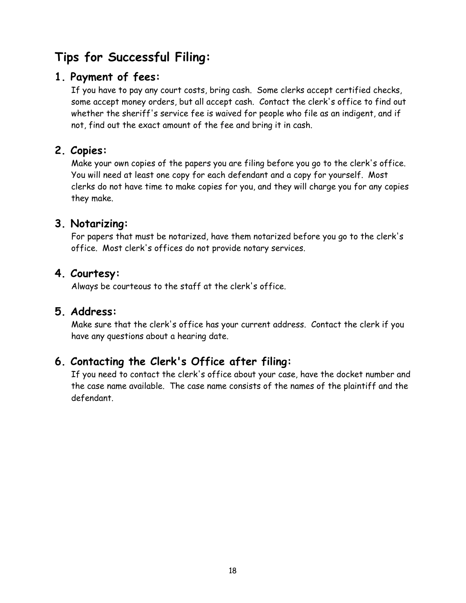# Tips for Successful Filing:

# 1. Payment of fees:

If you have to pay any court costs, bring cash. Some clerks accept certified checks, some accept money orders, but all accept cash. Contact the clerk's office to find out whether the sheriff's service fee is waived for people who file as an indigent, and if not, find out the exact amount of the fee and bring it in cash.

# 2. Copies:

Make your own copies of the papers you are filing before you go to the clerk's office. You will need at least one copy for each defendant and a copy for yourself. Most clerks do not have time to make copies for you, and they will charge you for any copies they make.

# 3. Notarizing:

For papers that must be notarized, have them notarized before you go to the clerk's office. Most clerk's offices do not provide notary services.

# 4. Courtesy:

Always be courteous to the staff at the clerk's office.

# 5. Address:

Make sure that the clerk's office has your current address. Contact the clerk if you have any questions about a hearing date.

# 6. Contacting the Clerk's Office after filing:

If you need to contact the clerk's office about your case, have the docket number and the case name available. The case name consists of the names of the plaintiff and the defendant.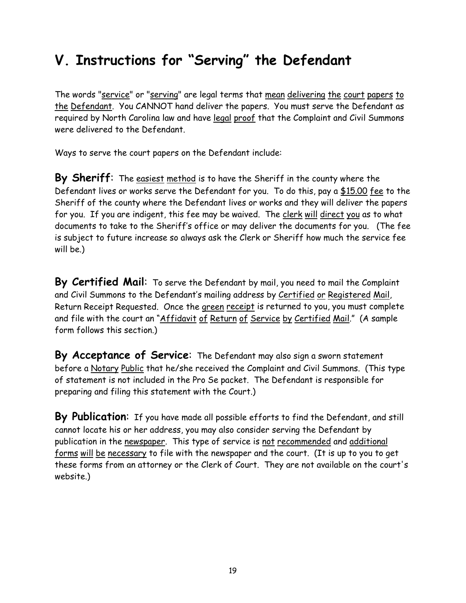# V. Instructions for "Serving" the Defendant

The words "service" or "serving" are legal terms that mean delivering the court papers to the Defendant. You CANNOT hand deliver the papers. You must serve the Defendant as required by North Carolina law and have legal proof that the Complaint and Civil Summons were delivered to the Defendant

Ways to serve the court papers on the Defendant include:

By Sheriff: The easiest method is to have the Sheriff in the county where the Defendant lives or works serve the Defendant for you. To do this, pay a \$15.00 fee to the Sheriff of the county where the Defendant lives or works and they will deliver the papers for you. If you are indigent, this fee may be waived. The clerk will direct you as to what documents to take to the Sheriff's office or may deliver the documents for you. (The fee is subject to future increase so always ask the Clerk or Sheriff how much the service fee will be.)

By Certified Mail: To serve the Defendant by mail, you need to mail the Complaint and Civil Summons to the Defendant's mailing address by Certified or Registered Mail, Return Receipt Requested. Once the green receipt is returned to you, you must complete and file with the court an "Affidavit of Return of Service by Certified Mail." (A sample form follows this section.)

By Acceptance of Service: The Defendant may also sign a sworn statement before a Notary Public that he/she received the Complaint and Civil Summons. (This type of statement is not included in the Pro Se packet. The Defendant is responsible for preparing and filing this statement with the Court.)

By Publication: If you have made all possible efforts to find the Defendant, and still cannot locate his or her address, you may also consider serving the Defendant by publication in the newspaper. This type of service is not recommended and additional forms will be necessary to file with the newspaper and the court. (It is up to you to get these forms from an attorney or the Clerk of Court. They are not available on the court's website.)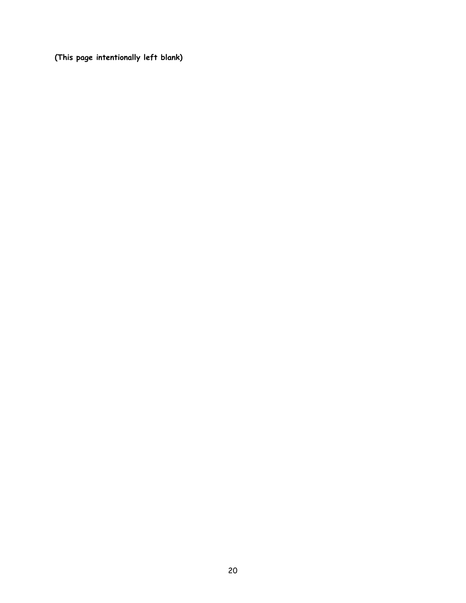(This page intentionally left blank)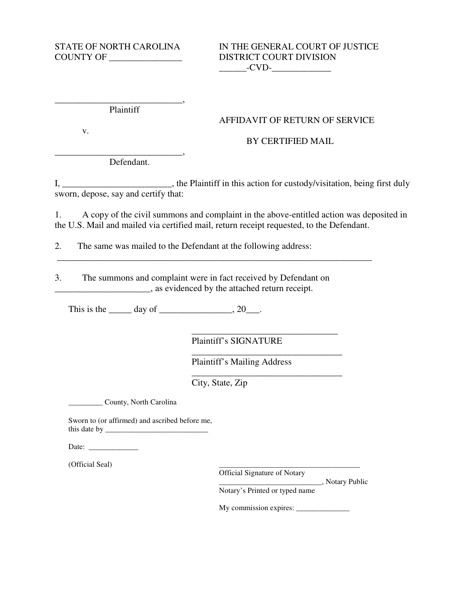# COUNTY OF \_\_\_\_\_\_\_\_\_\_\_\_\_\_\_\_ DISTRICT COURT DIVISION

STATE OF NORTH CAROLINA IN THE GENERAL COURT OF JUSTICE

\_\_\_\_\_\_-CVD-\_\_\_\_\_\_\_\_\_\_\_\_\_

\_\_\_\_\_\_\_\_\_\_\_\_\_\_\_\_\_\_\_\_\_\_\_\_\_\_\_\_, Plaintiff

#### AFFIDAVIT OF RETURN OF SERVICE

BY CERTIFIED MAIL

\_\_\_\_\_\_\_\_\_\_\_\_\_\_\_\_\_\_\_\_\_\_\_\_\_\_\_\_, Defendant.

I, \_\_\_\_\_\_\_\_\_\_\_\_\_\_\_\_\_\_\_\_\_\_, the Plaintiff in this action for custody/visitation, being first duly sworn, depose, say and certify that:

1. A copy of the civil summons and complaint in the above-entitled action was deposited in the U.S. Mail and mailed via certified mail, return receipt requested, to the Defendant.

\_\_\_\_\_\_\_\_\_\_\_\_\_\_\_\_\_\_\_\_\_\_\_\_\_\_\_\_\_\_\_\_\_\_\_\_\_\_\_\_\_\_\_\_\_\_\_\_\_\_\_\_\_\_\_\_\_\_\_\_\_\_\_\_\_\_\_\_\_

2. The same was mailed to the Defendant at the following address:

3. The summons and complaint were in fact received by Defendant on **EXECUTE:** As evidenced by the attached return receipt.

This is the  $\_\_\_\_\$  day of  $\_\_\_\_\_\_\$ , 20 $\_\_\_\$ .

 $\frac{1}{\sqrt{2}}$  ,  $\frac{1}{\sqrt{2}}$  ,  $\frac{1}{\sqrt{2}}$  ,  $\frac{1}{\sqrt{2}}$  ,  $\frac{1}{\sqrt{2}}$  ,  $\frac{1}{\sqrt{2}}$  ,  $\frac{1}{\sqrt{2}}$  ,  $\frac{1}{\sqrt{2}}$  ,  $\frac{1}{\sqrt{2}}$  ,  $\frac{1}{\sqrt{2}}$  ,  $\frac{1}{\sqrt{2}}$  ,  $\frac{1}{\sqrt{2}}$  ,  $\frac{1}{\sqrt{2}}$  ,  $\frac{1}{\sqrt{2}}$  ,  $\frac{1}{\sqrt{2}}$ Plaintiff's SIGNATURE

 $\overline{\phantom{a}}$  ,  $\overline{\phantom{a}}$  ,  $\overline{\phantom{a}}$  ,  $\overline{\phantom{a}}$  ,  $\overline{\phantom{a}}$  ,  $\overline{\phantom{a}}$  ,  $\overline{\phantom{a}}$  ,  $\overline{\phantom{a}}$  ,  $\overline{\phantom{a}}$  ,  $\overline{\phantom{a}}$  ,  $\overline{\phantom{a}}$  ,  $\overline{\phantom{a}}$  ,  $\overline{\phantom{a}}$  ,  $\overline{\phantom{a}}$  ,  $\overline{\phantom{a}}$  ,  $\overline{\phantom{a}}$ Plaintiff's Mailing Address

City, State, Zip

 $\overline{\phantom{a}}$  ,  $\overline{\phantom{a}}$  ,  $\overline{\phantom{a}}$  ,  $\overline{\phantom{a}}$  ,  $\overline{\phantom{a}}$  ,  $\overline{\phantom{a}}$  ,  $\overline{\phantom{a}}$  ,  $\overline{\phantom{a}}$  ,  $\overline{\phantom{a}}$  ,  $\overline{\phantom{a}}$  ,  $\overline{\phantom{a}}$  ,  $\overline{\phantom{a}}$  ,  $\overline{\phantom{a}}$  ,  $\overline{\phantom{a}}$  ,  $\overline{\phantom{a}}$  ,  $\overline{\phantom{a}}$ 

\_\_\_\_\_\_\_\_\_ County, North Carolina

Sworn to (or affirmed) and ascribed before me, this date by \_\_\_\_\_\_\_\_\_\_\_\_\_\_\_\_\_\_\_\_\_\_\_\_\_\_\_

Date: \_\_\_\_\_\_\_\_\_\_\_\_\_

(Official Seal) \_\_\_\_\_\_\_\_\_\_\_\_\_\_\_\_\_\_\_\_\_\_\_\_\_\_\_\_\_\_\_\_\_\_\_\_\_

Official Signature of Notary

\_\_\_\_\_, Notary Public

Notary's Printed or typed name

My commission expires:

v.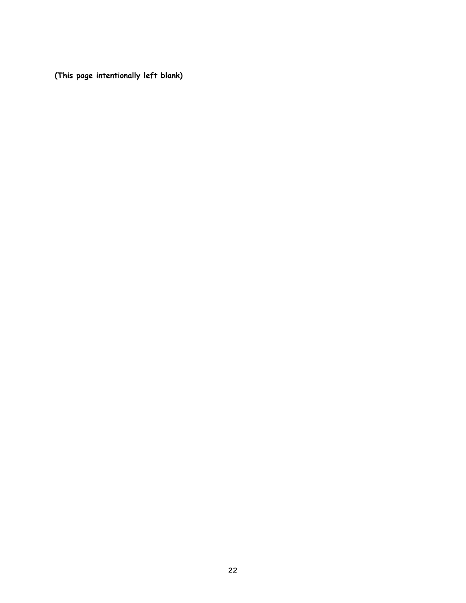(This page intentionally left blank)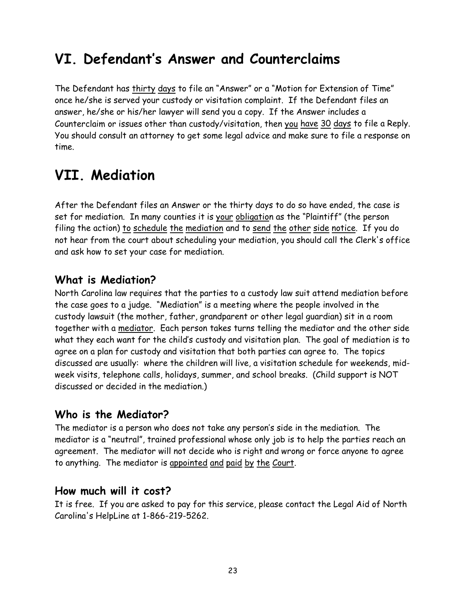# VI Defendant's Answer and Counterclaims

The Defendant has thirty days to file an "Answer" or a "Motion for Extension of Time" once he/she is served your custody or visitation complaint. If the Defendant files an answer, he/she or his/her lawyer will send you a copy. If the Answer includes a Counterclaim or issues other than custody/visitation, then you have 30 days to file a Reply. You should consult an attorney to get some legal advice and make sure to file a response on time.

# **VII. Mediation**

After the Defendant files an Answer or the thirty days to do so have ended, the case is set for mediation. In many counties it is your obligation as the "Plaintiff" (the person filing the action) to schedule the mediation and to send the other side notice. If you do not hear from the court about scheduling your mediation, you should call the Clerk's office and ask how to set your case for mediation.

# **What is Mediation?**

North Carolina law requires that the parties to a custody law suit attend mediation before the case goes to a judge. "Mediation" is a meeting where the people involved in the custody lawsuit (the mother, father, grandparent or other legal guardian) sit in a room together with a mediator. Each person takes turns telling the mediator and the other side what they each want for the child's custody and visitation plan. The goal of mediation is to agree on a plan for custody and visitation that both parties can agree to. The topics discussed are usually: where the children will live, a visitation schedule for weekends, midweek visits, telephone calls, holidays, summer, and school breaks. (Child support is NOT discussed or decided in the mediation.)

# Who is the Mediator?

The mediator is a person who does not take any person's side in the mediation. The mediator is a "neutral", trained professional whose only job is to help the parties reach an agreement. The mediator will not decide who is right and wrong or force anyone to agree to anything. The mediator is appointed and paid by the Court.

# How much will it cost?

It is free. If you are asked to pay for this service, please contact the Legal Aid of North Carolina's HelpLine at 1-866-219-5262.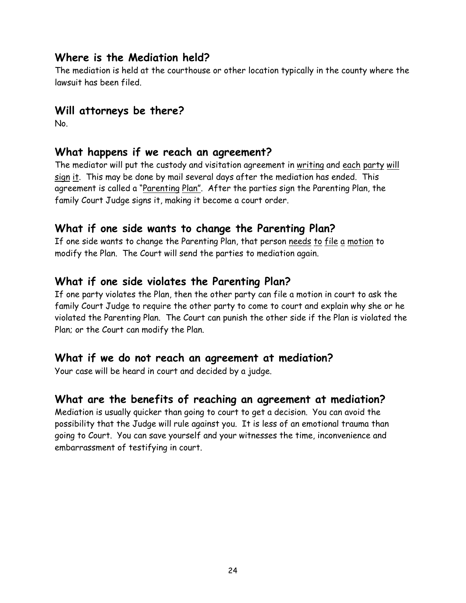# Where is the Mediation held?

The mediation is held at the courthouse or other location typically in the county where the lawsuit has been filed

## Will attorneys be there?

 $No.$ 

## What happens if we reach an agreement?

The mediator will put the custody and visitation agreement in writing and each party will sign it. This may be done by mail several days after the mediation has ended. This agreement is called a "Parenting Plan". After the parties sign the Parenting Plan, the family Court Judge signs it, making it become a court order.

## What if one side wants to change the Parenting Plan?

If one side wants to change the Parenting Plan, that person needs to file a motion to modify the Plan. The Court will send the parties to mediation again.

# What if one side violates the Parenting Plan?

If one party violates the Plan, then the other party can file a motion in court to ask the family Court Judge to reguire the other party to come to court and explain why she or he violated the Parenting Plan. The Court can punish the other side if the Plan is violated the Plan; or the Court can modify the Plan.

#### What if we do not reach an agreement at mediation?

Your case will be heard in court and decided by a judge.

# What are the benefits of reaching an agreement at mediation?

Mediation is usually quicker than going to court to get a decision. You can avoid the possibility that the Judge will rule against you. It is less of an emotional trauma than going to Court. You can save yourself and your witnesses the time, inconvenience and embarrassment of testifying in court.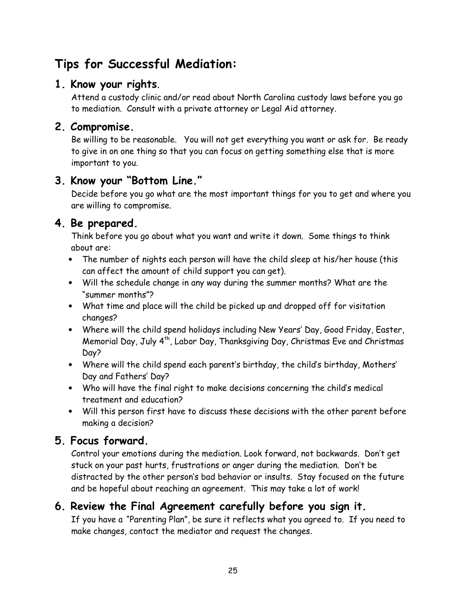# Tips for Successful Mediation:

# 1. Know your rights.

Attend a custody clinic and/or read about North Carolina custody laws before you go to mediation. Consult with a private attorney or Legal Aid attorney.

# 2. Compromise.

Be willing to be reasonable. You will not get everything you want or ask for. Be ready to give in on one thing so that you can focus on getting something else that is more important to you.

# 3. Know your "Bottom Line."

Decide before you go what are the most important things for you to get and where you are willing to compromise.

# 4. Be prepared.

Think before you go about what you want and write it down. Some things to think about are:

- The number of nights each person will have the child sleep at his/her house (this can affect the amount of child support you can get).
- Will the schedule change in any way during the summer months? What are the "summer months"?
- What time and place will the child be picked up and dropped off for visitation changes?
- Where will the child spend holidays including New Years' Day, Good Friday, Easter, Memorial Day, July 4<sup>th</sup>, Labor Day, Thanksgiving Day, Christmas Eve and Christmas Day?
- Where will the child spend each parent's birthday, the child's birthday, Mothers' Day and Fathers' Day?
- Who will have the final right to make decisions concerning the child's medical treatment and education?
- Will this person first have to discuss these decisions with the other parent before making a decision?

# 5. Focus forward

Control your emotions during the mediation. Look forward, not backwards. Don't get stuck on your past hurts, frustrations or anger during the mediation. Don't be distracted by the other person's bad behavior or insults. Stay focused on the future and be hopeful about reaching an agreement. This may take a lot of work!

# 6. Review the Final Agreement carefully before you sign it.

If you have a "Parenting Plan", be sure it reflects what you agreed to. If you need to make changes, contact the mediator and request the changes.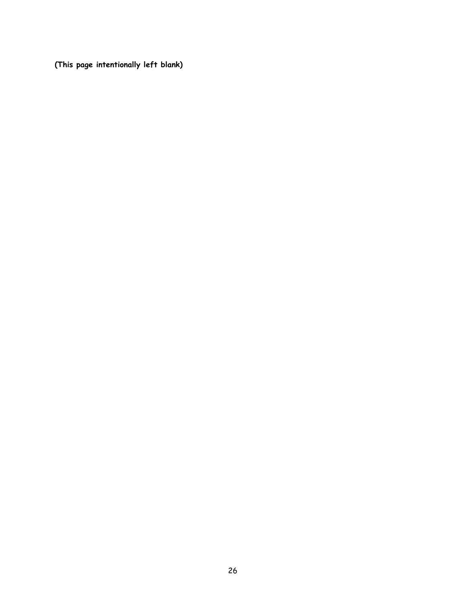(This page intentionally left blank)